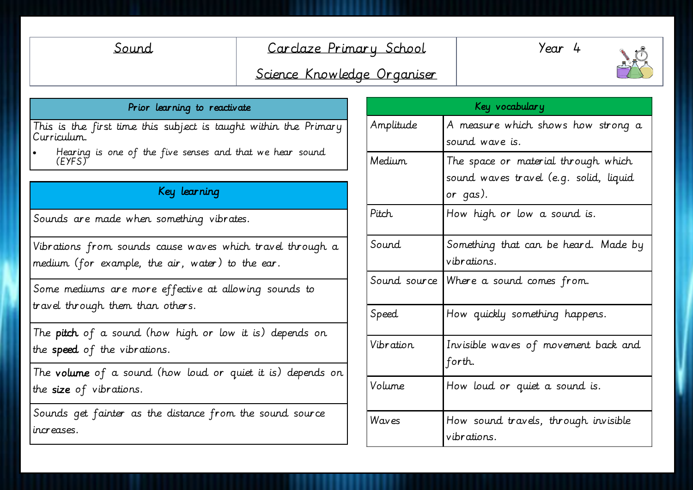# Sound Carclaze Primary School

Year 4



# Science Knowledge Organiser

### Prior learning to reactivate

This is the first time this subject is taught within the Primary Curriculum.

 Hearing is one of the five senses and that we hear sound (EYFS)

## Key learning

Sounds are made when something vibrates.

Vibrations from sounds cause waves which travel through a medium (for example, the air, water) to the ear.

Some mediums are more effective at allowing sounds to travel through them than others.

The pitch of a sound (how high or low it is) depends on the speed of the vibrations.

The volume of a sound (how loud or quiet it is) depends on the size of vibrations.

Sounds get fainter as the distance from the sound source increases.

| Key vocabulary |                                                                                           |
|----------------|-------------------------------------------------------------------------------------------|
| Amplitude      | A measure which shows how strong a<br>sound wave is.                                      |
| Medium.        | The space or material through which<br>sound waves travel (e.g. solid, liquid<br>or qas). |
| Pitch.         | How high or low a sound is.                                                               |
| Sound          | Something that can be heard. Made by<br>vibrations.                                       |
|                | Sound source   Where a sound comes from.                                                  |
| Speed          | How quickly something happens.                                                            |
| Vibration.     | Invisible waves of movement back and<br>forth.                                            |
| Volume         | How loud or quiet a sound is.                                                             |
| Waves          | How sound travels, through invisible<br>vibrations.                                       |